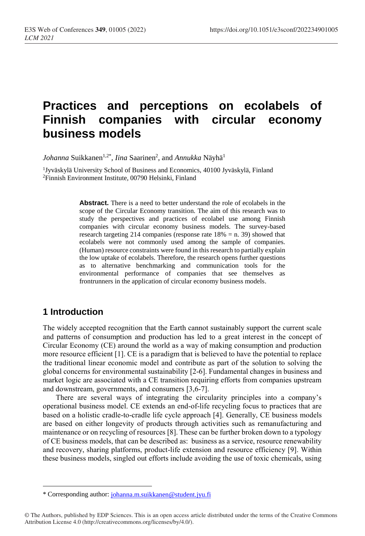# **Practices and perceptions on ecolabels of Finnish companies with circular economy business models**

*Johanna* Suikkanen<sup>1,2\*</sup>, *Iina* Saarinen<sup>2</sup>, and *Annukka* Näyhä<sup>1</sup>

<sup>1</sup>Jyväskylä University School of Business and Economics, 40100 Jyväskylä, Finland <sup>2</sup>Finnish Environment Institute, 00790 Helsinki, Finland

> **Abstract.** There is a need to better understand the role of ecolabels in the scope of the Circular Economy transition. The aim of this research was to study the perspectives and practices of ecolabel use among Finnish companies with circular economy business models. The survey-based research targeting 214 companies (response rate 18% = n. 39) showed that ecolabels were not commonly used among the sample of companies. (Human) resource constraints were found in this research to partially explain the low uptake of ecolabels. Therefore, the research opens further questions as to alternative benchmarking and communication tools for the environmental performance of companies that see themselves as frontrunners in the application of circular economy business models.

### **1 Introduction**

 $\overline{a}$ 

The widely accepted recognition that the Earth cannot sustainably support the current scale and patterns of consumption and production has led to a great interest in the concept of Circular Economy (CE) around the world as a way of making consumption and production more resource efficient [1]. CE is a paradigm that is believed to have the potential to replace the traditional linear economic model and contribute as part of the solution to solving the global concerns for environmental sustainability [2-6]. Fundamental changes in business and market logic are associated with a CE transition requiring efforts from companies upstream and downstream, governments, and consumers [3,6-7].

There are several ways of integrating the circularity principles into a company's operational business model. CE extends an end-of-life recycling focus to practices that are based on a holistic cradle-to-cradle life cycle approach [4]. Generally, CE business models are based on either longevity of products through activities such as remanufacturing and maintenance or on recycling of resources [8]. These can be further broken down to a typology of CE business models, that can be described as: business as a service, resource renewability and recovery, sharing platforms, product-life extension and resource efficiency [9]. Within these business models, singled out efforts include avoiding the use of toxic chemicals, using

<sup>\*</sup> Corresponding author: [johanna.m.suikkanen@student.jyu.fi](mailto:johanna.m.suikkanen@student.jyu.fi)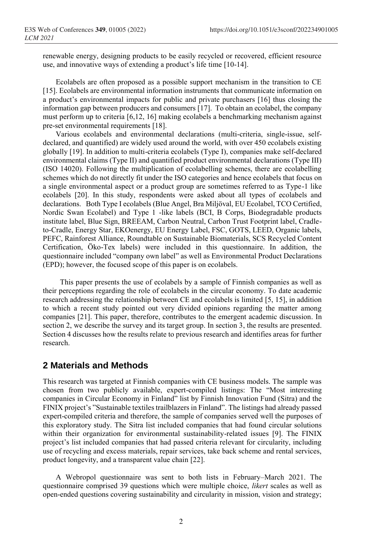renewable energy, designing products to be easily recycled or recovered, efficient resource use, and innovative ways of extending a product's life time [10-14].

Ecolabels are often proposed as a possible support mechanism in the transition to CE [15]. Ecolabels are environmental information instruments that communicate information on a product's environmental impacts for public and private purchasers [16] thus closing the information gap between producers and consumers [17]. To obtain an ecolabel, the company must perform up to criteria [6,12, 16] making ecolabels a benchmarking mechanism against pre-set environmental requirements [18].

Various ecolabels and environmental declarations (multi-criteria, single-issue, selfdeclared, and quantified) are widely used around the world, with over 450 ecolabels existing globally [19]. In addition to multi-criteria ecolabels (Type I), companies make self-declared environmental claims (Type II) and quantified product environmental declarations (Type III) (ISO 14020). Following the multiplication of ecolabelling schemes, there are ecolabelling schemes which do not directly fit under the ISO categories and hence ecolabels that focus on a single environmental aspect or a product group are sometimes referred to as Type-1 like ecolabels [20]. In this study, respondents were asked about all types of ecolabels and declarations. Both Type I ecolabels (Blue Angel, Bra Miljöval, EU Ecolabel, TCO Certified, Nordic Swan Ecolabel) and Type 1 -like labels (BCI, B Corps, Biodegradable products institute label, Blue Sign, BREEAM, Carbon Neutral, Carbon Trust Footprint label, Cradleto-Cradle, Energy Star, EKOenergy, EU Energy Label, FSC, GOTS, LEED, Organic labels, PEFC, Rainforest Alliance, Roundtable on Sustainable Biomaterials, SCS Recycled Content Certification, Öko-Tex labels) were included in this questionnaire. In addition, the questionnaire included "company own label" as well as Environmental Product Declarations (EPD); however, the focused scope of this paper is on ecolabels.

This paper presents the use of ecolabels by a sample of Finnish companies as well as their perceptions regarding the role of ecolabels in the circular economy. To date academic research addressing the relationship between CE and ecolabels is limited [5, 15], in addition to which a recent study pointed out very divided opinions regarding the matter among companies [21]. This paper, therefore, contributes to the emergent academic discussion. In section 2, we describe the survey and its target group. In section 3, the results are presented. Section 4 discusses how the results relate to previous research and identifies areas for further research.

### **2 Materials and Methods**

This research was targeted at Finnish companies with CE business models. The sample was chosen from two publicly available, expert-compiled listings: The "Most interesting companies in Circular Economy in Finland" list by Finnish Innovation Fund (Sitra) and the FINIX project's "Sustainable textiles trailblazers in Finland". The listings had already passed expert-compiled criteria and therefore, the sample of companies served well the purposes of this exploratory study. The Sitra list included companies that had found circular solutions within their organization for environmental sustainability-related issues [9]. The FINIX project's list included companies that had passed criteria relevant for circularity, including use of recycling and excess materials, repair services, take back scheme and rental services, product longevity, and a transparent value chain [22].

A Webropol questionnaire was sent to both lists in February–March 2021. The questionnaire comprised 39 questions which were multiple choice, *likert* scales as well as open-ended questions covering sustainability and circularity in mission, vision and strategy;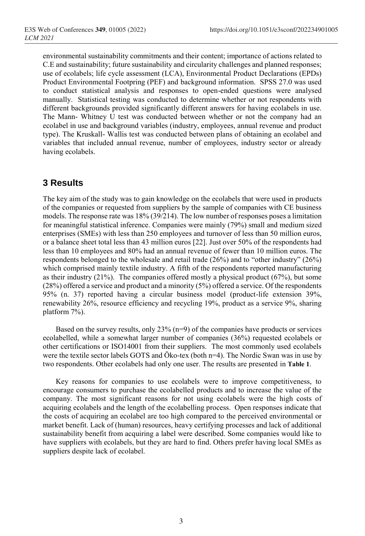environmental sustainability commitments and their content; importance of actions related to C.E and sustainability; future sustainability and circularity challenges and planned responses; use of ecolabels; life cycle assessment (LCA), Environmental Product Declarations (EPDs) Product Environmental Footpring (PEF) and background information. SPSS 27.0 was used to conduct statistical analysis and responses to open-ended questions were analysed manually. Statistical testing was conducted to determine whether or not respondents with different backgrounds provided significantly different answers for having ecolabels in use. The Mann- Whitney U test was conducted between whether or not the company had an ecolabel in use and background variables (industry, employees, annual revenue and product type). The Kruskall- Wallis test was conducted between plans of obtaining an ecolabel and variables that included annual revenue, number of employees, industry sector or already having ecolabels.

## **3 Results**

The key aim of the study was to gain knowledge on the ecolabels that were used in products of the companies or requested from suppliers by the sample of companies with CE business models. The response rate was 18% (39/214). The low number of responses poses a limitation for meaningful statistical inference. Companies were mainly (79%) small and medium sized enterprises (SMEs) with less than 250 employees and turnover of less than 50 million euros, or a balance sheet total less than 43 million euros [22]. Just over 50% of the respondents had less than 10 employees and 80% had an annual revenue of fewer than 10 million euros. The respondents belonged to the wholesale and retail trade (26%) and to "other industry" (26%) which comprised mainly textile industry. A fifth of the respondents reported manufacturing as their industry (21%). The companies offered mostly a physical product (67%), but some (28%) offered a service and product and a minority (5%) offered a service. Of the respondents 95% (n. 37) reported having a circular business model (product-life extension 39%, renewability 26%, resource efficiency and recycling 19%, product as a service 9%, sharing platform 7%).

Based on the survey results, only  $23\%$  (n=9) of the companies have products or services ecolabelled, while a somewhat larger number of companies (36%) requested ecolabels or other certifications or ISO14001 from their suppliers. The most commonly used ecolabels were the textile sector labels GOTS and Öko-tex (both n=4). The Nordic Swan was in use by two respondents. Other ecolabels had only one user. The results are presented in **[Table 1](#page-3-0)**.

Key reasons for companies to use ecolabels were to improve competitiveness, to encourage consumers to purchase the ecolabelled products and to increase the value of the company. The most significant reasons for not using ecolabels were the high costs of acquiring ecolabels and the length of the ecolabelling process. Open responses indicate that the costs of acquiring an ecolabel are too high compared to the perceived environmental or market benefit. Lack of (human) resources, heavy certifying processes and lack of additional sustainability benefit from acquiring a label were described. Some companies would like to have suppliers with ecolabels, but they are hard to find. Others prefer having local SMEs as suppliers despite lack of ecolabel.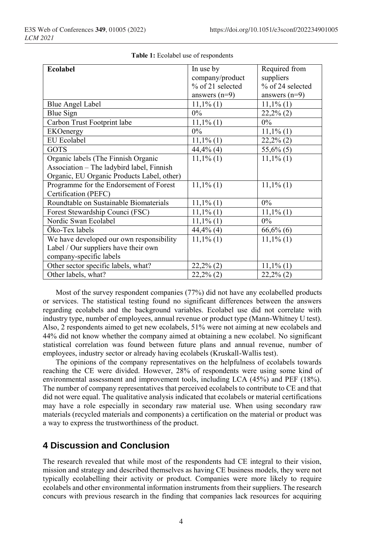<span id="page-3-0"></span>

| Ecolabel                                   | In use by        | Required from    |
|--------------------------------------------|------------------|------------------|
|                                            | company/product  | suppliers        |
|                                            | % of 21 selected | % of 24 selected |
|                                            | answers $(n=9)$  | answers $(n=9)$  |
| <b>Blue Angel Label</b>                    | $11,1\%$ (1)     | $11,1\%$ (1)     |
| Blue Sign                                  | $0\%$            | $22,2\%$ (2)     |
| Carbon Trust Footprint labe                | $11,1\%$ (1)     | $0\%$            |
| EKOenergy                                  | $0\%$            | $11,1\%$ (1)     |
| <b>EU</b> Ecolabel                         | $11,1\%$ (1)     | $22,2\%$ (2)     |
| <b>GOTS</b>                                | $44,4%$ (4)      | $55,6\%$ (5)     |
| Organic labels (The Finnish Organic        | $11,1\%$ (1)     | $11,1\%$ (1)     |
| Association - The ladybird label, Finnish  |                  |                  |
| Organic, EU Organic Products Label, other) |                  |                  |
| Programme for the Endorsement of Forest    | $11,1\%$ (1)     | $11,1\%$ (1)     |
| Certification (PEFC)                       |                  |                  |
| Roundtable on Sustainable Biomaterials     | $11,1\%$ (1)     | $0\%$            |
| Forest Stewardship Counci (FSC)            | $11,1\%$ (1)     | $11,1\%$ (1)     |
| Nordic Swan Ecolabel                       | $11,1\%$ (1)     | $0\%$            |
| Öko-Tex labels                             | 44,4% (4)        | $66,6%$ (6)      |
| We have developed our own responsibility   | $11,1\%$ (1)     | $11,1\%$ (1)     |
| Label / Our suppliers have their own       |                  |                  |
| company-specific labels                    |                  |                  |
| Other sector specific labels, what?        | $22,2\%$ (2)     | $11,1\%$ (1)     |
| Other labels, what?                        | $22,2\%$ (2)     | $22,2\%$ (2)     |

Most of the survey respondent companies (77%) did not have any ecolabelled products or services. The statistical testing found no significant differences between the answers regarding ecolabels and the background variables. Ecolabel use did not correlate with industry type, number of employees, annual revenue or product type (Mann-Whitney U test). Also, 2 respondents aimed to get new ecolabels, 51% were not aiming at new ecolabels and 44% did not know whether the company aimed at obtaining a new ecolabel. No significant statistical correlation was found between future plans and annual revenue, number of employees, industry sector or already having ecolabels (Kruskall-Wallis test).

The opinions of the company representatives on the helpfulness of ecolabels towards reaching the CE were divided. However, 28% of respondents were using some kind of environmental assessment and improvement tools, including LCA (45%) and PEF (18%). The number of company representatives that perceived ecolabels to contribute to CE and that did not were equal. The qualitative analysis indicated that ecolabels or material certifications may have a role especially in secondary raw material use. When using secondary raw materials (recycled materials and components) a certification on the material or product was a way to express the trustworthiness of the product.

# **4 Discussion and Conclusion**

The research revealed that while most of the respondents had CE integral to their vision, mission and strategy and described themselves as having CE business models, they were not typically ecolabelling their activity or product. Companies were more likely to require ecolabels and other environmental information instruments from their suppliers. The research concurs with previous research in the finding that companies lack resources for acquiring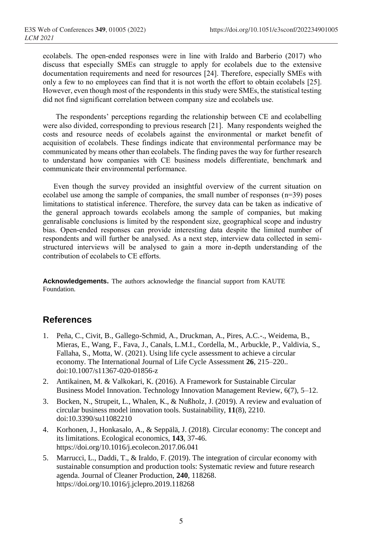ecolabels. The open-ended responses were in line with Iraldo and Barberio (2017) who discuss that especially SMEs can struggle to apply for ecolabels due to the extensive documentation requirements and need for resources [24]. Therefore, especially SMEs with only a few to no employees can find that it is not worth the effort to obtain ecolabels [25]. However, even though most of the respondents in this study were SMEs, the statistical testing did not find significant correlation between company size and ecolabels use.

The respondents' perceptions regarding the relationship between CE and ecolabelling were also divided, corresponding to previous research [21]. Many respondents weighed the costs and resource needs of ecolabels against the environmental or market benefit of acquisition of ecolabels. These findings indicate that environmental performance may be communicated by means other than ecolabels. The finding paves the way for further research to understand how companies with CE business models differentiate, benchmark and communicate their environmental performance.

Even though the survey provided an insightful overview of the current situation on ecolabel use among the sample of companies, the small number of responses (n=39) poses limitations to statistical inference. Therefore, the survey data can be taken as indicative of the general approach towards ecolabels among the sample of companies, but making genralisable conclusions is limited by the respondent size, geographical scope and industry bias. Open-ended responses can provide interesting data despite the limited number of respondents and will further be analysed. As a next step, interview data collected in semistructured interviews will be analysed to gain a more in-depth understanding of the contribution of ecolabels to CE efforts.

**Acknowledgements.** The authors acknowledge the financial support from KAUTE Foundation.

#### **References**

- 1. Peña, C., Civit, B., Gallego-Schmid, A., Druckman, A., Pires, A.C.-., Weidema, B., Mieras, E., Wang, F., Fava, J., Canals, L.M.I., Cordella, M., Arbuckle, P., Valdivia, S., Fallaha, S., Motta, W. (2021). Using life cycle assessment to achieve a circular economy. The International Journal of Life Cycle Assessment **26**, 215–220.. doi:10.1007/s11367-020-01856-z
- 2. Antikainen, M. & Valkokari, K. (2016). A Framework for Sustainable Circular Business Model Innovation. Technology Innovation Management Review, 6(7), 5–12.
- 3. Bocken, N., Strupeit, L., Whalen, K., & Nußholz, J. (2019). A review and evaluation of circular business model innovation tools. Sustainability, **11**(8), 2210. doi:10.3390/su11082210
- 4. Korhonen, J., Honkasalo, A., & Seppälä, J. (2018). Circular economy: The concept and its limitations. Ecological economics, **143**, 37-46. https://doi.org/10.1016/j.ecolecon.2017.06.041
- 5. Marrucci, L., Daddi, T., & Iraldo, F. (2019). The integration of circular economy with sustainable consumption and production tools: Systematic review and future research agenda. Journal of Cleaner Production, **240**, 118268. https://doi.org/10.1016/j.jclepro.2019.118268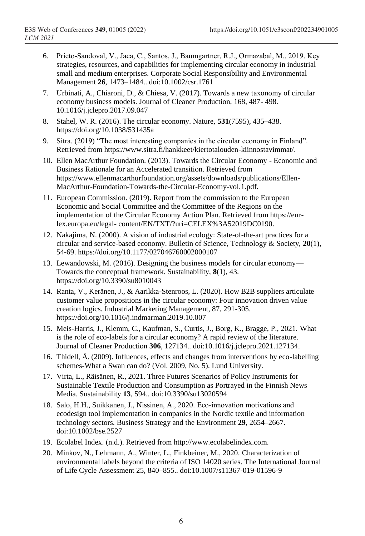- 6. Prieto‐Sandoval, V., Jaca, C., Santos, J., Baumgartner, R.J., Ormazabal, M., 2019. Key strategies, resources, and capabilities for implementing circular economy in industrial small and medium enterprises. Corporate Social Responsibility and Environmental Management **26**, 1473–1484.. doi:10.1002/csr.1761
- 7. Urbinati, A., Chiaroni, D., & Chiesa, V. (2017). Towards a new taxonomy of circular economy business models. Journal of Cleaner Production, 168, 487- 498. 10.1016/j.jclepro.2017.09.047
- 8. Stahel, W. R. (2016). The circular economy. Nature, **531**(7595), 435–438. https://doi.org/10.1038/531435a
- 9. Sitra. (2019) "The most interesting companies in the circular economy in Finland". Retrieved from https://www.sitra.fi/hankkeet/kiertotalouden-kiinnostavimmat/.
- 10. Ellen MacArthur Foundation. (2013). Towards the Circular Economy Economic and Business Rationale for an Accelerated transition. Retrieved from https://www.ellenmacarthurfoundation.org/assets/downloads/publications/Ellen-MacArthur-Foundation-Towards-the-Circular-Economy-vol.1.pdf.
- 11. European Commission. (2019). Report from the commission to the European Economic and Social Committee and the Committee of the Regions on the implementation of the Circular Economy Action Plan. Retrieved from https://eurlex.europa.eu/legal- content/EN/TXT/?uri=CELEX%3A52019DC0190.
- 12. Nakajima, N. (2000). A vision of industrial ecology: State-of-the-art practices for a circular and service-based economy. Bulletin of Science, Technology & Society, **20**(1), 54-69. https://doi.org/10.1177/027046760002000107
- 13. Lewandowski, M. (2016). Designing the business models for circular economy— Towards the conceptual framework. Sustainability, **8**(1), 43. https://doi.org/10.3390/su8010043
- 14. Ranta, V., Keränen, J., & Aarikka-Stenroos, L. (2020). How B2B suppliers articulate customer value propositions in the circular economy: Four innovation driven value creation logics. Industrial Marketing Management, 87, 291-305. https://doi.org/10.1016/j.indmarman.2019.10.007
- 15. Meis-Harris, J., Klemm, C., Kaufman, S., Curtis, J., Borg, K., Bragge, P., 2021. What is the role of eco-labels for a circular economy? A rapid review of the literature. Journal of Cleaner Production **306**, 127134.. doi:10.1016/j.jclepro.2021.127134.
- 16. Thidell, Å. (2009). Influences, effects and changes from interventions by eco-labelling schemes-What a Swan can do? (Vol. 2009, No. 5). Lund University.
- 17. Virta, L., Räisänen, R., 2021. Three Futures Scenarios of Policy Instruments for Sustainable Textile Production and Consumption as Portrayed in the Finnish News Media. Sustainability **13**, 594.. doi:10.3390/su13020594
- 18. Salo, H.H., Suikkanen, J., Nissinen, A., 2020. Eco‐innovation motivations and ecodesign tool implementation in companies in the Nordic textile and information technology sectors. Business Strategy and the Environment **29**, 2654–2667. doi:10.1002/bse.2527
- 19. Ecolabel Index. (n.d.). Retrieved from http://www.ecolabelindex.com.
- 20. Minkov, N., Lehmann, A., Winter, L., Finkbeiner, M., 2020. Characterization of environmental labels beyond the criteria of ISO 14020 series. The International Journal of Life Cycle Assessment 25, 840–855.. doi:10.1007/s11367-019-01596-9